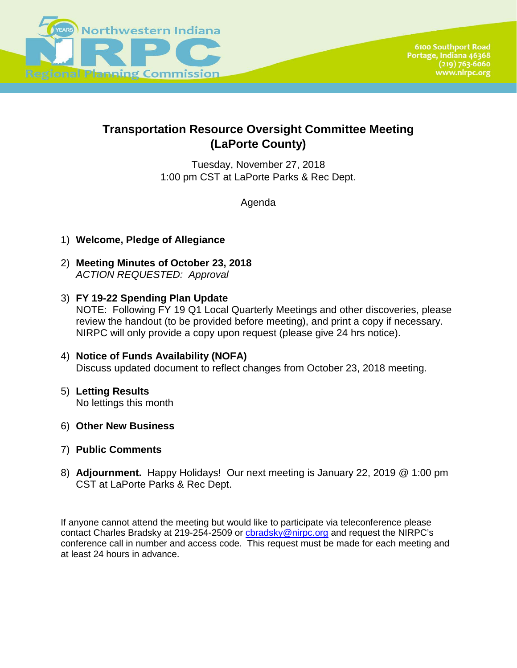

# **Transportation Resource Oversight Committee Meeting (LaPorte County)**

Tuesday, November 27, 2018 1:00 pm CST at LaPorte Parks & Rec Dept.

Agenda

- 1) **Welcome, Pledge of Allegiance**
- 2) **Meeting Minutes of October 23, 2018** *ACTION REQUESTED: Approval*
- 3) **FY 19-22 Spending Plan Update** NOTE: Following FY 19 Q1 Local Quarterly Meetings and other discoveries, please review the handout (to be provided before meeting), and print a copy if necessary. NIRPC will only provide a copy upon request (please give 24 hrs notice).
- 4) **Notice of Funds Availability (NOFA)**  Discuss updated document to reflect changes from October 23, 2018 meeting.
- 5) **Letting Results** No lettings this month
- 6) **Other New Business**
- 7) **Public Comments**
- 8) **Adjournment.** Happy Holidays! Our next meeting is January 22, 2019 @ 1:00 pm CST at LaPorte Parks & Rec Dept.

If anyone cannot attend the meeting but would like to participate via teleconference please contact Charles Bradsky at 219-254-2509 or chradsky@nirpc.org and request the NIRPC's conference call in number and access code. This request must be made for each meeting and at least 24 hours in advance.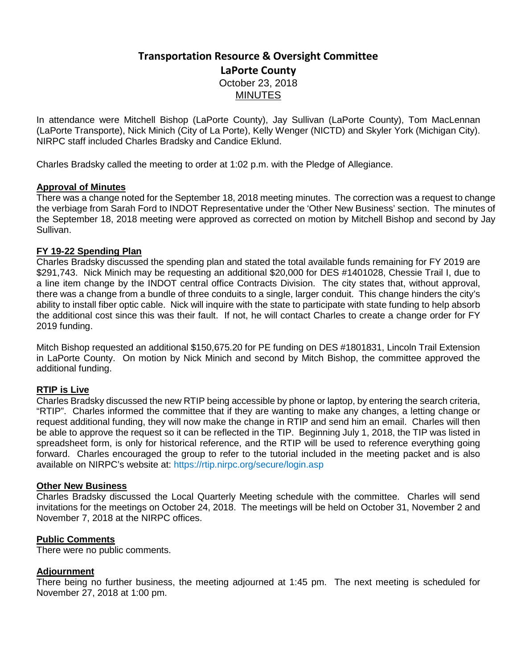## **Transportation Resource & Oversight Committee LaPorte County** October 23, 2018 **MINUTES**

In attendance were Mitchell Bishop (LaPorte County), Jay Sullivan (LaPorte County), Tom MacLennan (LaPorte Transporte), Nick Minich (City of La Porte), Kelly Wenger (NICTD) and Skyler York (Michigan City). NIRPC staff included Charles Bradsky and Candice Eklund.

Charles Bradsky called the meeting to order at 1:02 p.m. with the Pledge of Allegiance.

### **Approval of Minutes**

There was a change noted for the September 18, 2018 meeting minutes. The correction was a request to change the verbiage from Sarah Ford to INDOT Representative under the 'Other New Business' section. The minutes of the September 18, 2018 meeting were approved as corrected on motion by Mitchell Bishop and second by Jay Sullivan.

### **FY 19-22 Spending Plan**

Charles Bradsky discussed the spending plan and stated the total available funds remaining for FY 2019 are \$291,743. Nick Minich may be requesting an additional \$20,000 for DES #1401028, Chessie Trail I, due to a line item change by the INDOT central office Contracts Division. The city states that, without approval, there was a change from a bundle of three conduits to a single, larger conduit. This change hinders the city's ability to install fiber optic cable. Nick will inquire with the state to participate with state funding to help absorb the additional cost since this was their fault. If not, he will contact Charles to create a change order for FY 2019 funding.

Mitch Bishop requested an additional \$150,675.20 for PE funding on DES #1801831, Lincoln Trail Extension in LaPorte County. On motion by Nick Minich and second by Mitch Bishop, the committee approved the additional funding.

### **RTIP is Live**

Charles Bradsky discussed the new RTIP being accessible by phone or laptop, by entering the search criteria, "RTIP". Charles informed the committee that if they are wanting to make any changes, a letting change or request additional funding, they will now make the change in RTIP and send him an email. Charles will then be able to approve the request so it can be reflected in the TIP. Beginning July 1, 2018, the TIP was listed in spreadsheet form, is only for historical reference, and the RTIP will be used to reference everything going forward. Charles encouraged the group to refer to the tutorial included in the meeting packet and is also available on NIRPC's website at: https://rtip.nirpc.org/secure/login.asp

#### **Other New Business**

Charles Bradsky discussed the Local Quarterly Meeting schedule with the committee. Charles will send invitations for the meetings on October 24, 2018. The meetings will be held on October 31, November 2 and November 7, 2018 at the NIRPC offices.

#### **Public Comments**

There were no public comments.

### **Adjournment**

There being no further business, the meeting adjourned at 1:45 pm. The next meeting is scheduled for November 27, 2018 at 1:00 pm.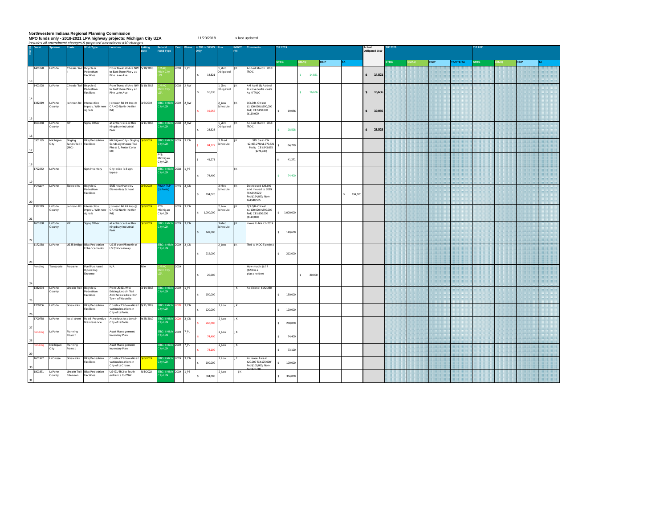Northwestern Indiana Regional Planning Commission<br>MPO funds only - 2018-2021 LPA highway projects: Michigan City UZA<br>*Includes all amendment changes & proposed amendment #10 changes* 

< last updated

| $Q$ Des#          | Sponsor                   | Route                           | Work Type                                              | Location                                                                                | nciudes all amendment changes & proposed amendment #10 changes<br>Letting<br>Date | Federal<br><b>Fund Type</b>                            | Year                   | Phase     | In TIP or SPMS<br>Only |                     |           |                                                                             | <b>IP 2019</b>          |          |                        |  | Actual     | Obligated 2019 | P 2020    |             |            | TIP 2021  |             |  |           |
|-------------------|---------------------------|---------------------------------|--------------------------------------------------------|-----------------------------------------------------------------------------------------|-----------------------------------------------------------------------------------|--------------------------------------------------------|------------------------|-----------|------------------------|---------------------|-----------|-----------------------------------------------------------------------------|-------------------------|----------|------------------------|--|------------|----------------|-----------|-------------|------------|-----------|-------------|--|-----------|
|                   |                           |                                 |                                                        |                                                                                         |                                                                                   |                                                        |                        |           |                        |                     |           |                                                                             | <b>STBG</b>             |          |                        |  | <b>TA</b>  |                |           | <b>STBG</b> | <b>MAG</b> | TAP/TE-TA | <b>STBG</b> |  | <b>TA</b> |
| 1401028           | LaPorte                   |                                 | Chessie Trail Bicycle &<br>Pedestrian<br>Facilities    | rom Truesdell Ave NW<br>to East Shore Pkwy at<br>Pine Lake Ave                          | 5/10/2018                                                                         |                                                        | 2018                   | 1_PE      | \$ 14,821              | 1_Zero<br>Obligated |           | Added March 2018<br><b>TROC</b>                                             |                         |          | \$14.821               |  |            |                | \$ 14,821 |             |            |           |             |  |           |
| 1401028           | LaPorte                   |                                 | Chessie Trail Bicycle &<br>edestrian<br>acilities      | rom Truesdell Ave NW 5/10/2018<br>to East Shore Pkwy at<br>line Lake Ave                |                                                                                   |                                                        | 2018 2_RW              |           | 16,636<br>$\mathbf{S}$ | 1_Zero<br>Obligated |           | AM April 18: Added<br>to cover extra costs<br>April TROC                    |                         |          | $\mathbf{s}$<br>16,636 |  |            | $\mathbf{s}$   | 16,636    |             |            |           |             |  |           |
| 1382219           | LaPorte<br>County         |                                 | Johnson Rd Intersection<br>improv. With new<br>signals | Johnson Rd Int Imp @<br>CR 400 North (Keiffer<br>Ref)                                   | 3/6/2019                                                                          | <b>SG II Mich</b><br>tv UZA                            | 2019 2_RW              |           | 19,056                 | $2$ LOW<br>Schedule | JK        | Q3LQR- CN est<br>\$1,100,020 (\$890,000<br>fed) CE \$150,000<br>(S110,000)  | s.                      | 19,056   |                        |  |            |                | 19,056    |             |            |           |             |  |           |
| 1601868           | LaPorte<br>County         | KIP                             | Signs, Other                                           | at entrance & within<br>Gingsbury Industrial<br>Park                                    | 4/11/2018                                                                         | BG II Mich 2018 2_RW<br>ty UZA                         |                        |           | \$28,528               | 1_Zero<br>Obligated | l ik      | Added March 2018<br><b>TROC</b>                                             | s.<br>28,528            |          |                        |  |            | $\mathbf{S}$   | 28,528    |             |            |           |             |  |           |
| 0301165           | Michigan<br>City          | Singing<br>ands Trail I<br>(MC) | Bike/Pedestrian<br>acilities                           | Michigan City - Singing<br>Sands Lighthouse Trail<br>Phase 1, Porter Co to<br>MC.       | 6/2019                                                                            | STBG II Mich 2019 3_CN<br>ity UZA                      |                        |           | 84.729                 | 3_Med<br>ichedule   |           | STG 3 est-CN<br>\$2,463,276(\$1,970,621<br>Fed): CE \$343,675<br>(S274.940) | S                       | 84 7 7 9 |                        |  |            |                |           |             |            |           |             |  |           |
| 1702262           | LaPorte                   |                                 | Sign Inventory                                         | City-wide (all sign                                                                     |                                                                                   | <b>PYB</b><br>Michigan<br>City UZA<br><b>3G II Mit</b> | 2018 1_PE              |           | \$ 41,271              |                     | JK        |                                                                             | S                       | 41,271   |                        |  |            |                |           |             |            |           |             |  |           |
| 1500422           | LaPorte                   | Sidewalks                       | Bicycle &                                              | types)<br>SRTS near Handley                                                             | 6/2019                                                                            | ity UZA<br>WA TAP                                      | 2019 3_CN              |           | \$74,400               | 3-Med               | JK        | Decreased \$26,699                                                          | s.                      | 74,400   |                        |  |            |                |           |             |            |           |             |  |           |
|                   |                           |                                 | Pedestrian<br>Facilities                               | <b>Elementary School.</b>                                                               |                                                                                   | aPorte)                                                |                        |           | \$ 194,020             | Schedule            |           | and moved to 2019<br>TC\$242.525/<br>Fed\$194.020/ Non-<br>fed\$48.505      |                         |          |                        |  | \$ 194,020 |                |           |             |            |           |             |  |           |
| 1382219           | LaPorte<br>County         | Johnson Rd                      | Intersection<br>mprov. With new<br>signals             | Johnson Rd Int Imp @<br>CR 400 North (Keiffer<br>(b9                                    | 6/2019                                                                            | PYB<br>Michigan<br>City UZA                            |                        | 2019 3_CN | \$7,000,000            | 2_Low<br>ichedule   |           | Q3LQR- CN est<br>\$1,100,020 (\$890,000<br>fed) CE \$150,000<br>(S110,000)  | \$1,000,000             |          |                        |  |            |                |           |             |            |           |             |  |           |
| 1601868           | LaPorte<br>County         | KIP                             | Signs, Other                                           | at entrance & within<br>Kingsbury Industrial<br>Park                                    | /6/2019                                                                           | aty UZA                                                |                        | 2019 3_CN | \$ 149,600             | 3-Med<br>Schedule   | <b>JK</b> | move to March 2019                                                          | \$149,600               |          |                        |  |            |                |           |             |            |           |             |  |           |
| 1172288           | LaPorte                   |                                 | US 35 bridge Bike/Pedestrian<br>Enhancements           | US 35 over RR north of<br>US 2/Lincolnway                                               |                                                                                   | BG II Mich 2019 3_CN<br>ity UZA                        |                        |           | \$212,000              | 2_Low               | <b>JK</b> | Tied to INDOT project                                                       | \$ 212,000              |          |                        |  |            |                |           |             |            |           |             |  |           |
| Pending           | Transporte                | Propane                         | Fuel Purchase/<br>Operating<br>Expense                 | N/A                                                                                     | N/A                                                                               |                                                        | 2019                   |           | \$20,000               |                     |           | How much \$\$ ??<br>(\$20K is a<br>placeholder)                             |                         |          | $S = 20,000$           |  |            |                |           |             |            |           |             |  |           |
| 1382604           | LaPorte<br>County         |                                 | Lincoln Trail Bicycle &<br>Pedestrian<br>acilities     | From US 421 W to<br>Existing Lincoln Trail<br>AND Sidewalks within<br>fown of Westville | 3/14/2018                                                                         | BG II Mich 2019 1_PE<br>ity UZA                        |                        |           | \$ 150,000             |                     | $-116$    | Additional \$142,280                                                        | $S = 150,000$           |          |                        |  |            |                |           |             |            |           |             |  |           |
| 1700756           | LaPorte                   | Sidewalks                       | Bike/Pedestrian<br>acilities                           | Construct Sidewalks at<br>arious locations in<br>City of LaPorte.                       | 9/11/2019                                                                         | <b>BG II Mich</b><br>ity UZA                           | 2020 3_CN              |           | \$120,000              | $2$ _LOW            | JK        |                                                                             | \$ 120,000              |          |                        |  |            |                |           |             |            |           |             |  |           |
| 1700758<br>ending | LaPorte<br>LaPorte        | local street<br>Planning        | Road Preventive<br>Maintenance                         | At various locations in<br>City of LaPorte.<br>Asset Management                         | 9/25/2019                                                                         | <b>BG II Mich</b><br>ty UZA.<br><b>BG II Mich</b>      | 2020 3_CN<br>2019 7_PL |           | \$ 260,000             | 2_Low<br>2_Low      | JK.<br>JK |                                                                             | \$ 260,000              |          |                        |  |            |                |           |             |            |           |             |  |           |
| ending            | Michigan                  | roject<br>Planning              |                                                        | nventory Plan<br>Asset Management                                                       |                                                                                   | <b>NTITA</b><br>BG II Mich 2019 7_PL<br>ty UZA         |                        |           | 74,400<br>s.           | 2_Low               | <b>JK</b> |                                                                             | S<br>74,400             |          |                        |  |            |                |           |             |            |           |             |  |           |
| 1601922           | City<br>LaCrosse          | roject<br>Sidewalks             | Bike/Pedestrian<br>acilities                           | nventory Plan<br>Construct Sidewalks at<br>arious locations in                          | 6/2019                                                                            | BG II Mich 2019 3_CN<br>ity UZA                        |                        |           | 73,100<br>\$ 100,000   | 2_Low               | JE        | Increase Award<br>\$20,000 TC\$125,000/                                     | \$ 73,100<br>\$ 100,000 |          |                        |  |            |                |           |             |            |           |             |  |           |
|                   | 1801831 LaPorte<br>County | Extension                       | Lincoln Trail Bike/Pedestrian<br>Facilities            | City of LaCrosse.<br>US 421/SR 2 to South 5/5/2022<br>entrance to PNW                   |                                                                                   | <b>BG II Mich 2019 1 PE</b><br>IV UZA                  |                        |           | \$ 304,000             | 2 Low               | JK        | Fed\$100,000/ Non-<br>aziese non                                            | \$ 304,000              |          |                        |  |            |                |           |             |            |           |             |  |           |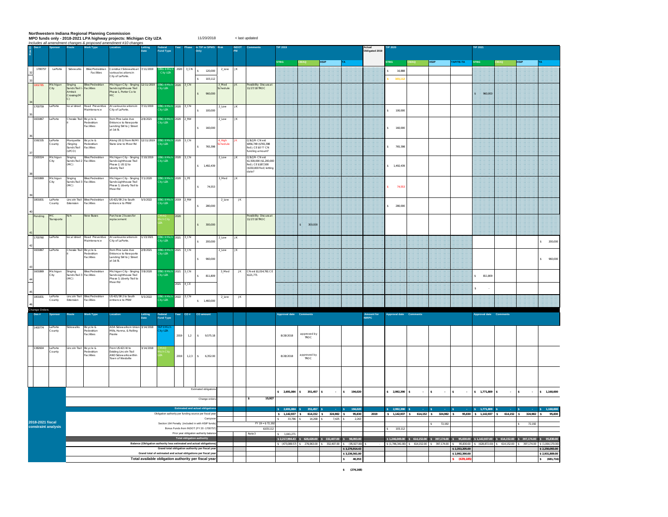Northwestern Indiana Regional Planning Commission<br>MPO funds only - 2018-2021 LPA highway projects: Michigan City UZA<br>*Includes all amendment changes & proposed amendment #10 changes* 

< last updated

|  | $Q$ Des # |                                         | Route                                            | <b>Work Type</b>                           | Includes all amendment changes & proposed amendment #10 changes<br><b>Location</b>               | Lettin<br>Date                                                     | Fund Type                                              |           |                                    |                                                                                    |                  |           |                                                                                                |                        |                            |                                                            | Actual<br>Obligated 2019                                |                     |                       |                          |                    |                                                   |                                                                                                                                                                                                                                              |               |                     |                                                  |
|--|-----------|-----------------------------------------|--------------------------------------------------|--------------------------------------------|--------------------------------------------------------------------------------------------------|--------------------------------------------------------------------|--------------------------------------------------------|-----------|------------------------------------|------------------------------------------------------------------------------------|------------------|-----------|------------------------------------------------------------------------------------------------|------------------------|----------------------------|------------------------------------------------------------|---------------------------------------------------------|---------------------|-----------------------|--------------------------|--------------------|---------------------------------------------------|----------------------------------------------------------------------------------------------------------------------------------------------------------------------------------------------------------------------------------------------|---------------|---------------------|--------------------------------------------------|
|  |           |                                         |                                                  |                                            |                                                                                                  |                                                                    |                                                        |           |                                    |                                                                                    |                  |           |                                                                                                | STBG                   | DAM:                       | <b>HSIP</b>                                                |                                                         |                     | TBG                   | $\mathsf{ZMAQ}$          | <b>HSIP</b>        | TAP/TE-TA                                         | <b>STBG</b>                                                                                                                                                                                                                                  | MAQ           | <b>HSIP</b>         |                                                  |
|  | 1700757   | LaPorte                                 | Sidewalks                                        | Bike/Pedestrian<br>Facilities              | Construct Sidewalks at 7/11/2019<br>arious locations in<br>City of LaPorte.                      |                                                                    | <b>Sity UZA</b>                                        | 2020      | $3$ <sub>CN</sub>                  | \$ 120,000<br>103,112                                                              | 2_Low            | JK        |                                                                                                |                        |                            |                                                            |                                                         |                     | 16,888<br>103,11      |                          |                    |                                                   |                                                                                                                                                                                                                                              |               |                     |                                                  |
|  | 302785    | Michigan<br>City                        | Singing<br>Sands Trail I<br>Amtrak<br>Irossing(M | Bike/Pedestrian<br>Facilities              | Michigan City - Singing 12/11/2019<br>Sands Lighthouse Trail<br>hase 1. Porter Co to<br>AC.      |                                                                    | <b>BG II Mic</b><br>y UZA.                             | 2020 3 CN |                                    | \$ 960,000                                                                         | 3 Med<br>chedule | JK.       | ossibility Discuss at<br>1/27/18 TROC                                                          |                        |                            |                                                            |                                                         |                     |                       |                          |                    |                                                   | 960.000                                                                                                                                                                                                                                      |               |                     |                                                  |
|  | 1700759   | LaPorte                                 |                                                  | ocal street Road Preventive<br>faintenance | At various locations in 7/11/2019<br>City of LaPorte.                                            |                                                                    | TBG II Mich 2020 3_CN<br>ity UZA                       |           |                                    | $\sim$<br>100,000                                                                  | 2_Low            | <b>JK</b> |                                                                                                |                        |                            |                                                            |                                                         |                     | \$ 100,000            |                          |                    |                                                   |                                                                                                                                                                                                                                              |               |                     |                                                  |
|  | 1601867   | LaPorte                                 | Chessie Trail Bicycle &                          | edestrian<br>acilities                     | om Pine Lake Ave<br>ntrance to Newporte                                                          | 2/8/2021                                                           | <b>RG II Mic</b><br>ty UZA.                            | 2020 2_RW |                                    |                                                                                    | 2_Low            | JK        |                                                                                                |                        |                            |                                                            |                                                         |                     |                       |                          |                    |                                                   |                                                                                                                                                                                                                                              |               |                     |                                                  |
|  | 1592335   | LaPorte                                 | Aarquette                                        | Bicycle &                                  | anding SW to J Street<br>at 1st St.<br>Vong US 12 from IN/MI 12/11/2019                          |                                                                    |                                                        | 2020 3_CN |                                    | 160,000<br>$\mathsf{s}$                                                            | High             |           | 3LQR- CN est                                                                                   |                        |                            |                                                            |                                                         |                     | 160,000               |                          |                    |                                                   |                                                                                                                                                                                                                                              |               |                     |                                                  |
|  |           | County                                  | /Singing<br>Sands Trail<br>(LPCO                 | Pedestrian<br>acilities                    | tate Line to Meer Rd                                                                             |                                                                    | .<br>18G II Mich<br>1ty UZA                            |           |                                    | \$ 765.398                                                                         | hedule           |           | 956.749 (\$765.398)<br>ed); CE \$0 ?? CN<br>unding amount?                                     |                        |                            |                                                            |                                                         |                     | \$ 765,398            |                          |                    |                                                   |                                                                                                                                                                                                                                              |               |                     |                                                  |
|  | 1500324   | Michigar<br>City                        | inging<br>ands Trail 2<br>MC)                    | Bike/Pedestrian<br>Facilities              | Aichigan City - Singing<br>iands Lighthouse Trail<br>Phase 2, US 12 to<br>iberty Trail           | /10/2019                                                           | BG II Mich<br>ty UZA                                   | 2020 3_CN |                                    | \$7,492,439                                                                        | 2_Low            |           | 31.QR- CN est<br>1.500.000 (\$1.200.00<br>ed): CE \$187,500<br>(\$150,000 Fed) letting<br>ate? |                        |                            |                                                            |                                                         |                     | 1,492,439             |                          |                    |                                                   |                                                                                                                                                                                                                                              |               |                     |                                                  |
|  | 1601869   | Michigan<br>City                        | Singing<br>ands Trail 3<br>MC)                   | Bike/Pedestrian<br>Facilities              | Michigan City - Singing 7/1/2020<br>ands Lighthouse Trail<br>hase 3, Liberty Trail to<br>Meer Rd |                                                                    | 3G II Mid<br>V UZA                                     | 2020      | $_{\rm PE}$                        | $\mathsf{s}$<br>74,553                                                             | 3_Med            | JK        |                                                                                                |                        |                            |                                                            |                                                         |                     | 74,553                |                          |                    |                                                   |                                                                                                                                                                                                                                              |               |                     |                                                  |
|  | 1801831   | LaPorte<br>County                       | Lincoln Trail<br>Extension                       | Bike/Pedestrian<br>Facilities              | US 421/SR 2 to South<br>intrance to PNW                                                          | 5/5/2022                                                           | BG II Mic<br>ity UZA                                   | 2019      | _RW                                | \$ 280,000                                                                         | 2_Low            | JK.       |                                                                                                |                        |                            |                                                            |                                                         |                     | $\hat{z}$<br>280,000  |                          |                    |                                                   |                                                                                                                                                                                                                                              |               |                     |                                                  |
|  | ending    | $_{\rm MC}$<br>fransporte               | N/A                                              | lew Buses                                  | urchase 2 buses for<br>eplacement                                                                |                                                                    |                                                        |           |                                    | 300,000<br>$\sim$                                                                  |                  |           | Possibility Discuss a<br>11/27/18 TROC                                                         |                        | 8 200.00                   |                                                            |                                                         |                     |                       |                          |                    |                                                   |                                                                                                                                                                                                                                              |               |                     |                                                  |
|  | 700760    | aPorte                                  | ocal stree                                       | Road Prevent<br>Maintenance                | At various locations in<br>City of LaPorte.                                                      | /13/2021                                                           | V UZA                                                  |           | $Ch$                               | 200,000                                                                            | $2$ _Lov         |           |                                                                                                |                        |                            |                                                            |                                                         |                     |                       |                          |                    |                                                   |                                                                                                                                                                                                                                              |               |                     | \$200,000                                        |
|  | 1601867   | aPorte                                  | hessie Trai                                      | Bicycle &<br>adestrian<br>acilities        | om Pine Lake Ave<br>intrance to Newporte<br>anding SW to J Street<br>at 1st St.                  | 2/8/2021                                                           | BG II Mi<br>ity UZA                                    | 2021      | CN                                 | s.<br>960,000                                                                      | 2_Low            | ж         |                                                                                                |                        |                            |                                                            |                                                         |                     |                       |                          |                    |                                                   |                                                                                                                                                                                                                                              |               |                     | 960,000<br>s.                                    |
|  | 1601869   | Michigan<br>City                        | Singing<br>Sands Trail 3<br>(MC)                 | Bike/Pedestrian<br>Facilities              | Michigan City - Singing 7/8/2020                                                                 |                                                                    | <b>BG II Mich</b><br>ty UZA.                           | 2021 3_CN |                                    | \$ 811,809                                                                         | 3_Med            | <b>JK</b> | CN est \$1,014,761 CE<br>\$121,771                                                             |                        |                            |                                                            |                                                         |                     |                       |                          |                    |                                                   | 811,809                                                                                                                                                                                                                                      |               |                     |                                                  |
|  |           |                                         |                                                  |                                            | Sands Lighthouse Trail<br>Phase 3, Liberty Trail to<br>Meer Rd                                   |                                                                    |                                                        | 2021 4_CE |                                    |                                                                                    |                  |           |                                                                                                |                        |                            |                                                            |                                                         |                     |                       |                          |                    |                                                   |                                                                                                                                                                                                                                              |               |                     |                                                  |
|  | 1801831   | LaPorte<br>County                       | Lincoln Trai<br>Extension                        | Bike/Pedestria<br>acilities                | US 421/SR 2 to South<br>ntrance to PNW                                                           | 5/5/2022                                                           | ty UZA.                                                | 2022      | I CN                               | \$7,460,000                                                                        | 2_Low            | JK.       |                                                                                                |                        |                            |                                                            |                                                         |                     |                       |                          |                    |                                                   |                                                                                                                                                                                                                                              |               |                     |                                                  |
|  | Des #     |                                         | Route                                            | <b>Work Type</b>                           |                                                                                                  | Letting<br>Date                                                    | Federal<br>Fund Type                                   | Year      | CO#                                | CO amount                                                                          |                  |           |                                                                                                | Approval date Comments |                            |                                                            |                                                         | Amount for<br>NIRPC | Approval date Comment |                          |                    |                                                   | Approval date                                                                                                                                                                                                                                | Comment       |                     |                                                  |
|  | 1400774   | LaPorte<br>County                       | idewalks                                         | Bicycle &<br>edestrian<br>acilities        | ADA Sidewalks in Union 3/14/2018<br>Mills, Hanna, & Rolling<br>rairie                            |                                                                    | P II Mic<br>y UZA                                      | 2019      | $1.2\,$                            | \$9,575.18                                                                         |                  |           |                                                                                                | 8/28/2018              | approved by<br><b>TROC</b> |                                                            |                                                         |                     |                       |                          |                    |                                                   |                                                                                                                                                                                                                                              |               |                     |                                                  |
|  | 1382604   | LaPorte<br>County                       | ncoln Trail Bicycle &                            | edestrian<br>Facilities                    | rom US 421 W to<br>xisting Lincoln Trail<br>MD Sidewalks within<br>own of Westville              | 3/14/2018                                                          |                                                        | 2019      | 1,2,3                              | 6,352.00                                                                           |                  |           |                                                                                                | 8/28/2018              | approved by<br>TROC        |                                                            |                                                         |                     |                       |                          |                    |                                                   |                                                                                                                                                                                                                                              |               |                     |                                                  |
|  |           |                                         |                                                  |                                            |                                                                                                  |                                                                    |                                                        |           |                                    |                                                                                    |                  |           |                                                                                                |                        |                            |                                                            |                                                         |                     |                       |                          |                    |                                                   |                                                                                                                                                                                                                                              |               |                     |                                                  |
|  |           |                                         |                                                  |                                            |                                                                                                  |                                                                    |                                                        |           |                                    | Estimated obligation                                                               |                  |           |                                                                                                |                        |                            |                                                            |                                                         |                     |                       |                          |                    |                                                   |                                                                                                                                                                                                                                              |               |                     |                                                  |
|  |           |                                         |                                                  |                                            |                                                                                                  |                                                                    |                                                        |           |                                    | Change order                                                                       |                  |           | 15,927                                                                                         | \$2,691,084            | $$351,457$ \$              | $\sim$                                                     | \$ 194,020                                              |                     | \$2,992,390           | s<br>$\sim$              | $\sf{s}$<br>$\sim$ | $\sf{s}$<br>$\sim$                                | \$ 1,771,809                                                                                                                                                                                                                                 | l s<br>$\sim$ | $\vert$ s<br>$\sim$ | \$ 1,160,000                                     |
|  |           |                                         |                                                  |                                            |                                                                                                  |                                                                    | Obligation authority per funding source per fiscal yea |           | <b>Estimated and actual obliga</b> |                                                                                    |                  |           |                                                                                                | 2.691.084              | 351.457                    | \$1,142,937 \$614,152 \$324,982 \$                         | 194.02<br>95,830                                        | 2019                | 2.992.390             | \$1,142,937 \$614,152 \$ | 324,982 \$         |                                                   | 1.771.80<br>95,830 \$ 1,142,937 \$ 614,152 \$ 324,982 \$                                                                                                                                                                                     |               |                     | 1.160.00<br>95,830                               |
|  |           | 2018-2021 fiscal<br>constraint analysis |                                                  |                                            |                                                                                                  |                                                                    |                                                        |           |                                    | Carryove<br>Section 164 Penalty (included in with HSIP funds)                      |                  |           | FY 19 = \$72,19                                                                                | 33.786 S<br>s.         | 14.268 S                   | 7.425 S                                                    | 2,263                                                   |                     |                       |                          | 72,192             |                                                   |                                                                                                                                                                                                                                              |               | 72,192              |                                                  |
|  |           |                                         |                                                  |                                            |                                                                                                  |                                                                    |                                                        |           |                                    | Bonus Funds from INDOT (FY 20 -1700757)<br>Prior year obligation authority balance |                  |           | \$103,112<br>Note3                                                                             | 1,041,271              |                            |                                                            |                                                         |                     | 103.112               |                          |                    |                                                   |                                                                                                                                                                                                                                              |               |                     |                                                  |
|  |           |                                         |                                                  |                                            |                                                                                                  | Balance (Obligation authority less estimated and actual obligation |                                                        |           | Total obligation authority         |                                                                                    |                  |           |                                                                                                |                        |                            | \$ (473,089.57) \$ 276,963.00 \$ 332,407.00 \$ (95,927.00) |                                                         |                     |                       |                          |                    |                                                   | $$1,246,049.00 \quad $614,152.00 \quad $397,174.00 \quad $95,830.00 \quad $1,142,937.00 \quad $614,152.00 \quad $397,174.00 \quad $95,830.00$<br>\$ (1,746,341.00) \$ 614,152.00 \$ 397,174.00 \$ 95,830.00 \$ (628,872.00) \$ 614,152.00 \$ |               |                     | 397,174.00 \$ (1,064,170.00)                     |
|  |           |                                         |                                                  |                                            |                                                                                                  | Grand total of estimated and actual obligations per fiscal year    | Grand total obligation authority per fiscal yea        |           |                                    | Total available obligation authority per fiscal year                               |                  |           |                                                                                                |                        |                            |                                                            | \$3,276,914.43<br>\$3,236,561.00<br>$\vert$ s<br>40,353 |                     |                       |                          |                    | \$2,353,205.00<br>\$2,992,390.00<br>\$ (639, 185) |                                                                                                                                                                                                                                              |               |                     | \$2,250,093.00<br>\$2,931,809.00<br>\$ (681,716) |
|  |           |                                         |                                                  |                                            |                                                                                                  |                                                                    |                                                        |           |                                    |                                                                                    |                  |           |                                                                                                |                        |                            |                                                            |                                                         |                     |                       |                          |                    |                                                   |                                                                                                                                                                                                                                              |               |                     |                                                  |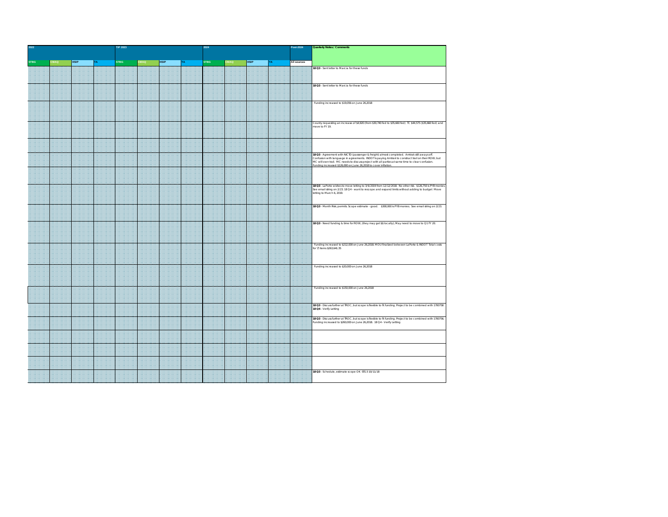| STBG<br><b>HSIP</b><br><b>STBG</b><br><b>MAC</b><br><b>HSIP</b><br><b>STBG</b><br><b>MAQ</b><br><b>HSIP</b><br>All sources<br>ГA.<br>18 Q3 - Sent letter to Marcia for these funds<br>18 Q3 - Sent letter to Marcia for these funds<br>Funding increased to \$19,056 on June 26,2018<br>County requesting an increase of \$4,920 (from \$30,740 fed to \$35,660 fed) TC \$44,575 (\$35,660 fed) and<br>nove to FY 19.<br>18 Q3 - Agreement with NICTD (passenger & freight) almost completed. Amtrak still aways off.<br>Confusion with language in agreements. INDOT is paying Amtrak to construct trail on their ROW; but<br>MC will own trail. MC needs to discuss project with all parties at same time to clear confusion.<br>unding increased \$126,000 on June 26,2018 to cover inflation.<br>18 Q3 - LaPorte wishes to move letting to 3/6/2019 from 12/12/2018. No other risk. \$126,750 is PYB monies<br>iee email string on 2/23. 18 Q4 - want to rescope and expand limits without adding to budget Move<br>etting to March 6, 2019.<br>18 Q3 - Month Risk: permits. Scope estimate - good. \$300,000 is PYB monies. See email string on 2/23.<br>18 Q3 - Need funding & time for ROW, (they may get \$\$ locally); May need to move to Q1 FY 20.<br>Funding increased to \$212,000 on June 26,2018. MOU finalized between LaPorte & INDOT Total costs<br>or $T$ items \$263,641.35<br>Funding increased to \$20,000 on June 26,2018<br>Funding increased to \$150,000 on June 26,2018<br>18 Q3 - Discuss further at TROC, but scope is flexible to fit funding. Project to be combined with 1700758<br>18 Q4 - Verify Letting<br><b>18 Q3</b> - Discuss further at TROC, but scope is flexible to fit funding. Project to be combined with 1700756.<br>Funding increased to \$260,000 on June 26,2018. 18 Q4 - Verify Letting<br>18 Q3 - Schedule, estimate scope OK STG3 10/11/18 | 2022 |  |  |  | TIP 2023 |  | 2024 |  | Post-2024 | Quarterly Notes / Comments |  |  |  |
|-------------------------------------------------------------------------------------------------------------------------------------------------------------------------------------------------------------------------------------------------------------------------------------------------------------------------------------------------------------------------------------------------------------------------------------------------------------------------------------------------------------------------------------------------------------------------------------------------------------------------------------------------------------------------------------------------------------------------------------------------------------------------------------------------------------------------------------------------------------------------------------------------------------------------------------------------------------------------------------------------------------------------------------------------------------------------------------------------------------------------------------------------------------------------------------------------------------------------------------------------------------------------------------------------------------------------------------------------------------------------------------------------------------------------------------------------------------------------------------------------------------------------------------------------------------------------------------------------------------------------------------------------------------------------------------------------------------------------------------------------------------------------------------------------------------------------------------------------------------------------------------------------|------|--|--|--|----------|--|------|--|-----------|----------------------------|--|--|--|
|                                                                                                                                                                                                                                                                                                                                                                                                                                                                                                                                                                                                                                                                                                                                                                                                                                                                                                                                                                                                                                                                                                                                                                                                                                                                                                                                                                                                                                                                                                                                                                                                                                                                                                                                                                                                                                                                                                 |      |  |  |  |          |  |      |  |           |                            |  |  |  |
|                                                                                                                                                                                                                                                                                                                                                                                                                                                                                                                                                                                                                                                                                                                                                                                                                                                                                                                                                                                                                                                                                                                                                                                                                                                                                                                                                                                                                                                                                                                                                                                                                                                                                                                                                                                                                                                                                                 |      |  |  |  |          |  |      |  |           |                            |  |  |  |
|                                                                                                                                                                                                                                                                                                                                                                                                                                                                                                                                                                                                                                                                                                                                                                                                                                                                                                                                                                                                                                                                                                                                                                                                                                                                                                                                                                                                                                                                                                                                                                                                                                                                                                                                                                                                                                                                                                 |      |  |  |  |          |  |      |  |           |                            |  |  |  |
|                                                                                                                                                                                                                                                                                                                                                                                                                                                                                                                                                                                                                                                                                                                                                                                                                                                                                                                                                                                                                                                                                                                                                                                                                                                                                                                                                                                                                                                                                                                                                                                                                                                                                                                                                                                                                                                                                                 |      |  |  |  |          |  |      |  |           |                            |  |  |  |
|                                                                                                                                                                                                                                                                                                                                                                                                                                                                                                                                                                                                                                                                                                                                                                                                                                                                                                                                                                                                                                                                                                                                                                                                                                                                                                                                                                                                                                                                                                                                                                                                                                                                                                                                                                                                                                                                                                 |      |  |  |  |          |  |      |  |           |                            |  |  |  |
|                                                                                                                                                                                                                                                                                                                                                                                                                                                                                                                                                                                                                                                                                                                                                                                                                                                                                                                                                                                                                                                                                                                                                                                                                                                                                                                                                                                                                                                                                                                                                                                                                                                                                                                                                                                                                                                                                                 |      |  |  |  |          |  |      |  |           |                            |  |  |  |
|                                                                                                                                                                                                                                                                                                                                                                                                                                                                                                                                                                                                                                                                                                                                                                                                                                                                                                                                                                                                                                                                                                                                                                                                                                                                                                                                                                                                                                                                                                                                                                                                                                                                                                                                                                                                                                                                                                 |      |  |  |  |          |  |      |  |           |                            |  |  |  |
|                                                                                                                                                                                                                                                                                                                                                                                                                                                                                                                                                                                                                                                                                                                                                                                                                                                                                                                                                                                                                                                                                                                                                                                                                                                                                                                                                                                                                                                                                                                                                                                                                                                                                                                                                                                                                                                                                                 |      |  |  |  |          |  |      |  |           |                            |  |  |  |
|                                                                                                                                                                                                                                                                                                                                                                                                                                                                                                                                                                                                                                                                                                                                                                                                                                                                                                                                                                                                                                                                                                                                                                                                                                                                                                                                                                                                                                                                                                                                                                                                                                                                                                                                                                                                                                                                                                 |      |  |  |  |          |  |      |  |           |                            |  |  |  |
|                                                                                                                                                                                                                                                                                                                                                                                                                                                                                                                                                                                                                                                                                                                                                                                                                                                                                                                                                                                                                                                                                                                                                                                                                                                                                                                                                                                                                                                                                                                                                                                                                                                                                                                                                                                                                                                                                                 |      |  |  |  |          |  |      |  |           |                            |  |  |  |
|                                                                                                                                                                                                                                                                                                                                                                                                                                                                                                                                                                                                                                                                                                                                                                                                                                                                                                                                                                                                                                                                                                                                                                                                                                                                                                                                                                                                                                                                                                                                                                                                                                                                                                                                                                                                                                                                                                 |      |  |  |  |          |  |      |  |           |                            |  |  |  |
|                                                                                                                                                                                                                                                                                                                                                                                                                                                                                                                                                                                                                                                                                                                                                                                                                                                                                                                                                                                                                                                                                                                                                                                                                                                                                                                                                                                                                                                                                                                                                                                                                                                                                                                                                                                                                                                                                                 |      |  |  |  |          |  |      |  |           |                            |  |  |  |
|                                                                                                                                                                                                                                                                                                                                                                                                                                                                                                                                                                                                                                                                                                                                                                                                                                                                                                                                                                                                                                                                                                                                                                                                                                                                                                                                                                                                                                                                                                                                                                                                                                                                                                                                                                                                                                                                                                 |      |  |  |  |          |  |      |  |           |                            |  |  |  |
|                                                                                                                                                                                                                                                                                                                                                                                                                                                                                                                                                                                                                                                                                                                                                                                                                                                                                                                                                                                                                                                                                                                                                                                                                                                                                                                                                                                                                                                                                                                                                                                                                                                                                                                                                                                                                                                                                                 |      |  |  |  |          |  |      |  |           |                            |  |  |  |
|                                                                                                                                                                                                                                                                                                                                                                                                                                                                                                                                                                                                                                                                                                                                                                                                                                                                                                                                                                                                                                                                                                                                                                                                                                                                                                                                                                                                                                                                                                                                                                                                                                                                                                                                                                                                                                                                                                 |      |  |  |  |          |  |      |  |           |                            |  |  |  |
|                                                                                                                                                                                                                                                                                                                                                                                                                                                                                                                                                                                                                                                                                                                                                                                                                                                                                                                                                                                                                                                                                                                                                                                                                                                                                                                                                                                                                                                                                                                                                                                                                                                                                                                                                                                                                                                                                                 |      |  |  |  |          |  |      |  |           |                            |  |  |  |
|                                                                                                                                                                                                                                                                                                                                                                                                                                                                                                                                                                                                                                                                                                                                                                                                                                                                                                                                                                                                                                                                                                                                                                                                                                                                                                                                                                                                                                                                                                                                                                                                                                                                                                                                                                                                                                                                                                 |      |  |  |  |          |  |      |  |           |                            |  |  |  |
|                                                                                                                                                                                                                                                                                                                                                                                                                                                                                                                                                                                                                                                                                                                                                                                                                                                                                                                                                                                                                                                                                                                                                                                                                                                                                                                                                                                                                                                                                                                                                                                                                                                                                                                                                                                                                                                                                                 |      |  |  |  |          |  |      |  |           |                            |  |  |  |
|                                                                                                                                                                                                                                                                                                                                                                                                                                                                                                                                                                                                                                                                                                                                                                                                                                                                                                                                                                                                                                                                                                                                                                                                                                                                                                                                                                                                                                                                                                                                                                                                                                                                                                                                                                                                                                                                                                 |      |  |  |  |          |  |      |  |           |                            |  |  |  |
|                                                                                                                                                                                                                                                                                                                                                                                                                                                                                                                                                                                                                                                                                                                                                                                                                                                                                                                                                                                                                                                                                                                                                                                                                                                                                                                                                                                                                                                                                                                                                                                                                                                                                                                                                                                                                                                                                                 |      |  |  |  |          |  |      |  |           |                            |  |  |  |
|                                                                                                                                                                                                                                                                                                                                                                                                                                                                                                                                                                                                                                                                                                                                                                                                                                                                                                                                                                                                                                                                                                                                                                                                                                                                                                                                                                                                                                                                                                                                                                                                                                                                                                                                                                                                                                                                                                 |      |  |  |  |          |  |      |  |           |                            |  |  |  |
|                                                                                                                                                                                                                                                                                                                                                                                                                                                                                                                                                                                                                                                                                                                                                                                                                                                                                                                                                                                                                                                                                                                                                                                                                                                                                                                                                                                                                                                                                                                                                                                                                                                                                                                                                                                                                                                                                                 |      |  |  |  |          |  |      |  |           |                            |  |  |  |
|                                                                                                                                                                                                                                                                                                                                                                                                                                                                                                                                                                                                                                                                                                                                                                                                                                                                                                                                                                                                                                                                                                                                                                                                                                                                                                                                                                                                                                                                                                                                                                                                                                                                                                                                                                                                                                                                                                 |      |  |  |  |          |  |      |  |           |                            |  |  |  |
|                                                                                                                                                                                                                                                                                                                                                                                                                                                                                                                                                                                                                                                                                                                                                                                                                                                                                                                                                                                                                                                                                                                                                                                                                                                                                                                                                                                                                                                                                                                                                                                                                                                                                                                                                                                                                                                                                                 |      |  |  |  |          |  |      |  |           |                            |  |  |  |
|                                                                                                                                                                                                                                                                                                                                                                                                                                                                                                                                                                                                                                                                                                                                                                                                                                                                                                                                                                                                                                                                                                                                                                                                                                                                                                                                                                                                                                                                                                                                                                                                                                                                                                                                                                                                                                                                                                 |      |  |  |  |          |  |      |  |           |                            |  |  |  |
|                                                                                                                                                                                                                                                                                                                                                                                                                                                                                                                                                                                                                                                                                                                                                                                                                                                                                                                                                                                                                                                                                                                                                                                                                                                                                                                                                                                                                                                                                                                                                                                                                                                                                                                                                                                                                                                                                                 |      |  |  |  |          |  |      |  |           |                            |  |  |  |
|                                                                                                                                                                                                                                                                                                                                                                                                                                                                                                                                                                                                                                                                                                                                                                                                                                                                                                                                                                                                                                                                                                                                                                                                                                                                                                                                                                                                                                                                                                                                                                                                                                                                                                                                                                                                                                                                                                 |      |  |  |  |          |  |      |  |           |                            |  |  |  |
|                                                                                                                                                                                                                                                                                                                                                                                                                                                                                                                                                                                                                                                                                                                                                                                                                                                                                                                                                                                                                                                                                                                                                                                                                                                                                                                                                                                                                                                                                                                                                                                                                                                                                                                                                                                                                                                                                                 |      |  |  |  |          |  |      |  |           |                            |  |  |  |
|                                                                                                                                                                                                                                                                                                                                                                                                                                                                                                                                                                                                                                                                                                                                                                                                                                                                                                                                                                                                                                                                                                                                                                                                                                                                                                                                                                                                                                                                                                                                                                                                                                                                                                                                                                                                                                                                                                 |      |  |  |  |          |  |      |  |           |                            |  |  |  |
|                                                                                                                                                                                                                                                                                                                                                                                                                                                                                                                                                                                                                                                                                                                                                                                                                                                                                                                                                                                                                                                                                                                                                                                                                                                                                                                                                                                                                                                                                                                                                                                                                                                                                                                                                                                                                                                                                                 |      |  |  |  |          |  |      |  |           |                            |  |  |  |
|                                                                                                                                                                                                                                                                                                                                                                                                                                                                                                                                                                                                                                                                                                                                                                                                                                                                                                                                                                                                                                                                                                                                                                                                                                                                                                                                                                                                                                                                                                                                                                                                                                                                                                                                                                                                                                                                                                 |      |  |  |  |          |  |      |  |           |                            |  |  |  |
|                                                                                                                                                                                                                                                                                                                                                                                                                                                                                                                                                                                                                                                                                                                                                                                                                                                                                                                                                                                                                                                                                                                                                                                                                                                                                                                                                                                                                                                                                                                                                                                                                                                                                                                                                                                                                                                                                                 |      |  |  |  |          |  |      |  |           |                            |  |  |  |
|                                                                                                                                                                                                                                                                                                                                                                                                                                                                                                                                                                                                                                                                                                                                                                                                                                                                                                                                                                                                                                                                                                                                                                                                                                                                                                                                                                                                                                                                                                                                                                                                                                                                                                                                                                                                                                                                                                 |      |  |  |  |          |  |      |  |           |                            |  |  |  |
|                                                                                                                                                                                                                                                                                                                                                                                                                                                                                                                                                                                                                                                                                                                                                                                                                                                                                                                                                                                                                                                                                                                                                                                                                                                                                                                                                                                                                                                                                                                                                                                                                                                                                                                                                                                                                                                                                                 |      |  |  |  |          |  |      |  |           |                            |  |  |  |
|                                                                                                                                                                                                                                                                                                                                                                                                                                                                                                                                                                                                                                                                                                                                                                                                                                                                                                                                                                                                                                                                                                                                                                                                                                                                                                                                                                                                                                                                                                                                                                                                                                                                                                                                                                                                                                                                                                 |      |  |  |  |          |  |      |  |           |                            |  |  |  |
|                                                                                                                                                                                                                                                                                                                                                                                                                                                                                                                                                                                                                                                                                                                                                                                                                                                                                                                                                                                                                                                                                                                                                                                                                                                                                                                                                                                                                                                                                                                                                                                                                                                                                                                                                                                                                                                                                                 |      |  |  |  |          |  |      |  |           |                            |  |  |  |
|                                                                                                                                                                                                                                                                                                                                                                                                                                                                                                                                                                                                                                                                                                                                                                                                                                                                                                                                                                                                                                                                                                                                                                                                                                                                                                                                                                                                                                                                                                                                                                                                                                                                                                                                                                                                                                                                                                 |      |  |  |  |          |  |      |  |           |                            |  |  |  |
|                                                                                                                                                                                                                                                                                                                                                                                                                                                                                                                                                                                                                                                                                                                                                                                                                                                                                                                                                                                                                                                                                                                                                                                                                                                                                                                                                                                                                                                                                                                                                                                                                                                                                                                                                                                                                                                                                                 |      |  |  |  |          |  |      |  |           |                            |  |  |  |
|                                                                                                                                                                                                                                                                                                                                                                                                                                                                                                                                                                                                                                                                                                                                                                                                                                                                                                                                                                                                                                                                                                                                                                                                                                                                                                                                                                                                                                                                                                                                                                                                                                                                                                                                                                                                                                                                                                 |      |  |  |  |          |  |      |  |           |                            |  |  |  |
|                                                                                                                                                                                                                                                                                                                                                                                                                                                                                                                                                                                                                                                                                                                                                                                                                                                                                                                                                                                                                                                                                                                                                                                                                                                                                                                                                                                                                                                                                                                                                                                                                                                                                                                                                                                                                                                                                                 |      |  |  |  |          |  |      |  |           |                            |  |  |  |
|                                                                                                                                                                                                                                                                                                                                                                                                                                                                                                                                                                                                                                                                                                                                                                                                                                                                                                                                                                                                                                                                                                                                                                                                                                                                                                                                                                                                                                                                                                                                                                                                                                                                                                                                                                                                                                                                                                 |      |  |  |  |          |  |      |  |           |                            |  |  |  |
|                                                                                                                                                                                                                                                                                                                                                                                                                                                                                                                                                                                                                                                                                                                                                                                                                                                                                                                                                                                                                                                                                                                                                                                                                                                                                                                                                                                                                                                                                                                                                                                                                                                                                                                                                                                                                                                                                                 |      |  |  |  |          |  |      |  |           |                            |  |  |  |
|                                                                                                                                                                                                                                                                                                                                                                                                                                                                                                                                                                                                                                                                                                                                                                                                                                                                                                                                                                                                                                                                                                                                                                                                                                                                                                                                                                                                                                                                                                                                                                                                                                                                                                                                                                                                                                                                                                 |      |  |  |  |          |  |      |  |           |                            |  |  |  |
|                                                                                                                                                                                                                                                                                                                                                                                                                                                                                                                                                                                                                                                                                                                                                                                                                                                                                                                                                                                                                                                                                                                                                                                                                                                                                                                                                                                                                                                                                                                                                                                                                                                                                                                                                                                                                                                                                                 |      |  |  |  |          |  |      |  |           |                            |  |  |  |
|                                                                                                                                                                                                                                                                                                                                                                                                                                                                                                                                                                                                                                                                                                                                                                                                                                                                                                                                                                                                                                                                                                                                                                                                                                                                                                                                                                                                                                                                                                                                                                                                                                                                                                                                                                                                                                                                                                 |      |  |  |  |          |  |      |  |           |                            |  |  |  |
|                                                                                                                                                                                                                                                                                                                                                                                                                                                                                                                                                                                                                                                                                                                                                                                                                                                                                                                                                                                                                                                                                                                                                                                                                                                                                                                                                                                                                                                                                                                                                                                                                                                                                                                                                                                                                                                                                                 |      |  |  |  |          |  |      |  |           |                            |  |  |  |
|                                                                                                                                                                                                                                                                                                                                                                                                                                                                                                                                                                                                                                                                                                                                                                                                                                                                                                                                                                                                                                                                                                                                                                                                                                                                                                                                                                                                                                                                                                                                                                                                                                                                                                                                                                                                                                                                                                 |      |  |  |  |          |  |      |  |           |                            |  |  |  |
|                                                                                                                                                                                                                                                                                                                                                                                                                                                                                                                                                                                                                                                                                                                                                                                                                                                                                                                                                                                                                                                                                                                                                                                                                                                                                                                                                                                                                                                                                                                                                                                                                                                                                                                                                                                                                                                                                                 |      |  |  |  |          |  |      |  |           |                            |  |  |  |
|                                                                                                                                                                                                                                                                                                                                                                                                                                                                                                                                                                                                                                                                                                                                                                                                                                                                                                                                                                                                                                                                                                                                                                                                                                                                                                                                                                                                                                                                                                                                                                                                                                                                                                                                                                                                                                                                                                 |      |  |  |  |          |  |      |  |           |                            |  |  |  |
|                                                                                                                                                                                                                                                                                                                                                                                                                                                                                                                                                                                                                                                                                                                                                                                                                                                                                                                                                                                                                                                                                                                                                                                                                                                                                                                                                                                                                                                                                                                                                                                                                                                                                                                                                                                                                                                                                                 |      |  |  |  |          |  |      |  |           |                            |  |  |  |
|                                                                                                                                                                                                                                                                                                                                                                                                                                                                                                                                                                                                                                                                                                                                                                                                                                                                                                                                                                                                                                                                                                                                                                                                                                                                                                                                                                                                                                                                                                                                                                                                                                                                                                                                                                                                                                                                                                 |      |  |  |  |          |  |      |  |           |                            |  |  |  |
|                                                                                                                                                                                                                                                                                                                                                                                                                                                                                                                                                                                                                                                                                                                                                                                                                                                                                                                                                                                                                                                                                                                                                                                                                                                                                                                                                                                                                                                                                                                                                                                                                                                                                                                                                                                                                                                                                                 |      |  |  |  |          |  |      |  |           |                            |  |  |  |